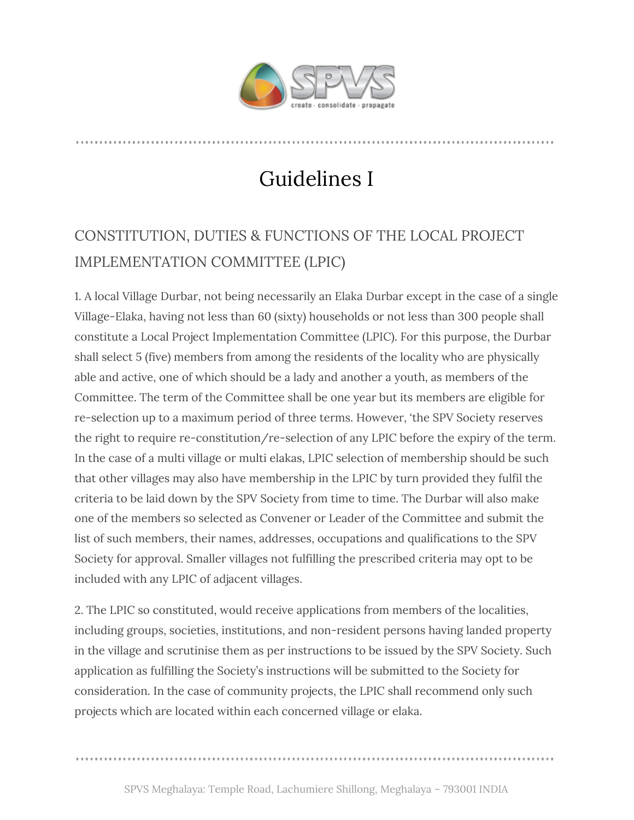

## Guidelines I

## CONSTITUTION, DUTIES & FUNCTIONS OF THE LOCAL PROJECT IMPLEMENTATION COMMITTEE (LPIC)

1. A local Village Durbar, not being necessarily an Elaka Durbar except in the case of a single Village-Elaka, having not less than 60 (sixty) households or not less than 300 people shall constitute a Local Project Implementation Committee (LPIC). For this purpose, the Durbar shall select 5 (five) members from among the residents of the locality who are physically able and active, one of which should be a lady and another a youth, as members of the Committee. The term of the Committee shall be one year but its members are eligible for re-selection up to a maximum period of three terms. However, 'the SPV Society reserves the right to require re-constitution/re-selection of any LPIC before the expiry of the term. In the case of a multi village or multi elakas, LPIC selection of membership should be such that other villages may also have membership in the LPIC by turn provided they fulfil the criteria to be laid down by the SPV Society from time to time. The Durbar will also make one of the members so selected as Convener or Leader of the Committee and submit the list of such members, their names, addresses, occupations and qualifications to the SPV Society for approval. Smaller villages not fulfilling the prescribed criteria may opt to be included with any LPIC of adjacent villages.

2. The LPIC so constituted, would receive applications from members of the localities, including groups, societies, institutions, and non-resident persons having landed property in the village and scrutinise them as per instructions to be issued by the SPV Society. Such application as fulfilling the Society's instructions will be submitted to the Society for consideration. In the case of community projects, the LPIC shall recommend only such projects which are located within each concerned village or elaka.